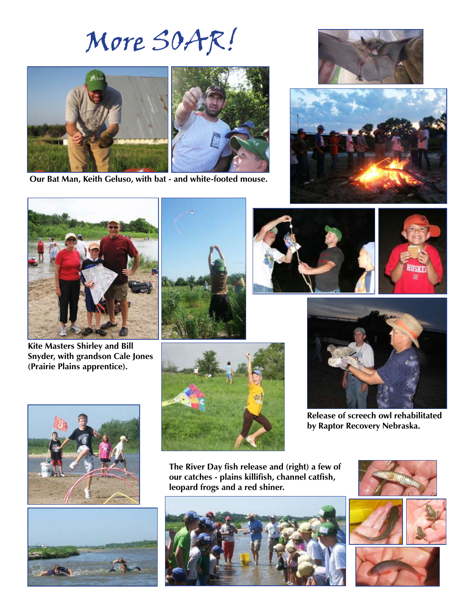# More SOAR!



**Our Bat Man, Keith Geluso, with bat - and white-footed mouse.**







**Kite Masters Shirley and Bill Snyder, with grandson Cale Jones (Prairie Plains apprentice).**









**Release of screech owl rehabilitated by Raptor Recovery Nebraska.**







**The River Day fish release and (right) a few of our catches - plains killifish, channel catfish, leopard frogs and a red shiner.**